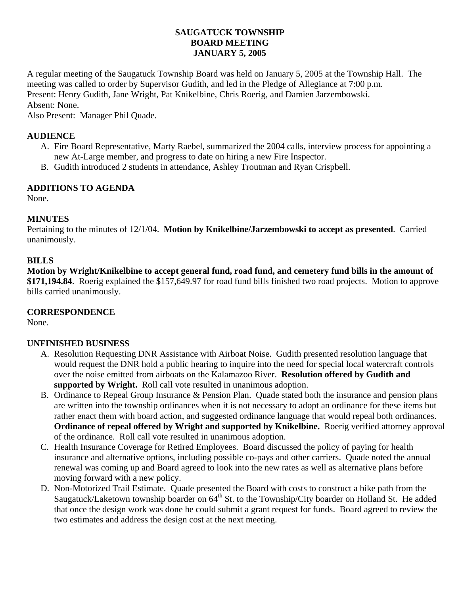### **SAUGATUCK TOWNSHIP BOARD MEETING JANUARY 5, 2005**

A regular meeting of the Saugatuck Township Board was held on January 5, 2005 at the Township Hall. The meeting was called to order by Supervisor Gudith, and led in the Pledge of Allegiance at 7:00 p.m. Present: Henry Gudith, Jane Wright, Pat Knikelbine, Chris Roerig, and Damien Jarzembowski. Absent: None.

Also Present: Manager Phil Quade.

### **AUDIENCE**

- A. Fire Board Representative, Marty Raebel, summarized the 2004 calls, interview process for appointing a new At-Large member, and progress to date on hiring a new Fire Inspector.
- B. Gudith introduced 2 students in attendance, Ashley Troutman and Ryan Crispbell.

# **ADDITIONS TO AGENDA**

None.

# **MINUTES**

Pertaining to the minutes of 12/1/04. **Motion by Knikelbine/Jarzembowski to accept as presented**. Carried unanimously.

### **BILLS**

**Motion by Wright/Knikelbine to accept general fund, road fund, and cemetery fund bills in the amount of \$171,194.84**. Roerig explained the \$157,649.97 for road fund bills finished two road projects. Motion to approve bills carried unanimously.

### **CORRESPONDENCE**

None.

### **UNFINISHED BUSINESS**

- A. Resolution Requesting DNR Assistance with Airboat Noise. Gudith presented resolution language that would request the DNR hold a public hearing to inquire into the need for special local watercraft controls over the noise emitted from airboats on the Kalamazoo River. **Resolution offered by Gudith and supported by Wright.** Roll call vote resulted in unanimous adoption.
- B. Ordinance to Repeal Group Insurance & Pension Plan. Quade stated both the insurance and pension plans are written into the township ordinances when it is not necessary to adopt an ordinance for these items but rather enact them with board action, and suggested ordinance language that would repeal both ordinances. **Ordinance of repeal offered by Wright and supported by Knikelbine.** Roerig verified attorney approval of the ordinance. Roll call vote resulted in unanimous adoption.
- C. Health Insurance Coverage for Retired Employees. Board discussed the policy of paying for health insurance and alternative options, including possible co-pays and other carriers. Quade noted the annual renewal was coming up and Board agreed to look into the new rates as well as alternative plans before moving forward with a new policy.
- D. Non-Motorized Trail Estimate. Quade presented the Board with costs to construct a bike path from the Saugatuck/Laketown township boarder on 64<sup>th</sup> St. to the Township/City boarder on Holland St. He added that once the design work was done he could submit a grant request for funds. Board agreed to review the two estimates and address the design cost at the next meeting.